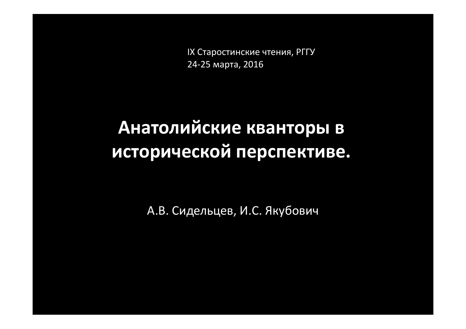IX Старостинские чтения, РГГУ 24-25 марта, 2016

# **Анатолийские кванторы в исторической перспективе.**

А.В. Сидельцев, И.С. Якубович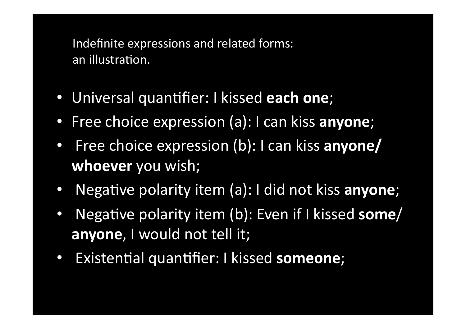Indefinite expressions and related forms: an illustration.

- Universal quantifier: I kissed **each one**;
- Free choice expression (a): I can kiss **anyone**;
- Free choice expression (b): I can kiss **anyone/** whoever you wish;
- Negative polarity item (a): I did not kiss **anyone**;
- Negative polarity item (b): Even if I kissed **some**/ **anyone**, I would not tell it;
- Existential quantifier: I kissed **someone**;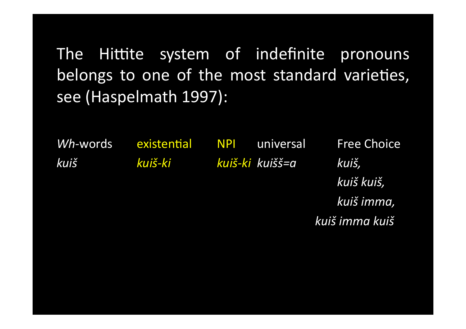The Hittite system of indefinite pronouns belongs to one of the most standard varieties, see (Haspelmath 1997):

Wh-words kuiš

existential NPI

universal kuiš-ki kuiš-ki kuišš=a

**Free Choice** kuiš, kuiš kuiš, kuiš imma, kuiš imma kuiš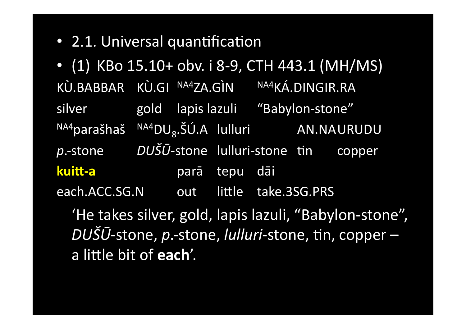• 2.1. Universal quantification

• (1) KBo 15.10+ obv. i 8-9, CTH 443.1 (MH/MS) KÙ.BABBAR KÙ.GI NA4ZA.GÌN NA4KÁ.DINGIR.RA gold lapis lazuli "Babylon-stone" silver  $^{NA4}$ parašhaš  $^{NA4}DU_8$ .ŠÚ.A lulluri AN.NAURUDU  $p$ -stone DUŠŪ-stone lulluri-stone tin copper kuitt-a parā tepu dāi each.ACC.SG.N out little take.3SG.PRS 'He takes silver, gold, lapis lazuli, "Babylon-stone",

DUŠŪ-stone, p.-stone, lulluri-stone, tin, coppera little bit of each'.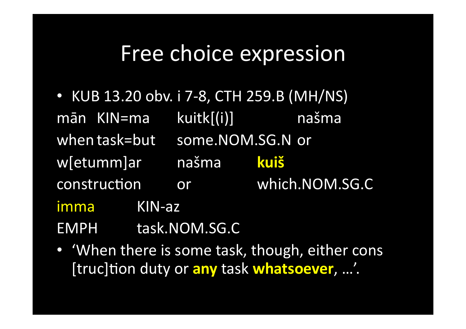# Free choice expression

- KUB 13.20 obv. i 7-8, CTH 259.B (MH/NS) kuitk[(i)] našma mān KIN=ma when task=but some.NOM.SG.N or w[etumm]ar našma **kujš** or which.NOM.SG.C construction imma  $KIN-az$ **EMPH** task.NOM.SG.C
- 'When there is some task, though, either cons [truc]tion duty or any task whatsoever, ...'.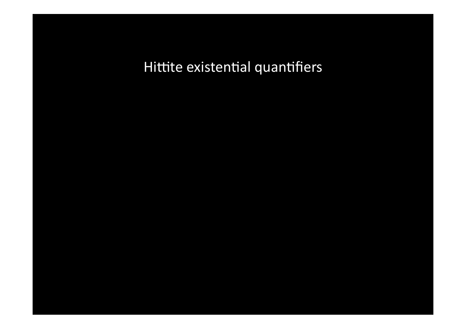Hittite existential quantifiers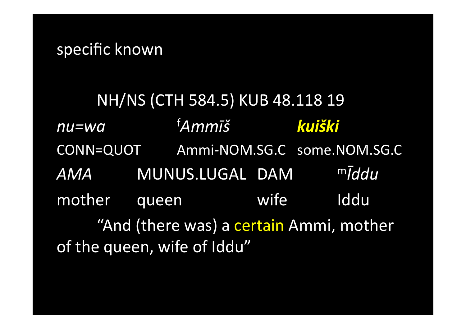## specific known

NH/NS (CTH 584.5) KUB 48.118 19 <sup>f</sup>Ammīš kuiški  $nu = wa$ CONN=QUOT Ammi-NOM.SG.C some.NOM.SG.C  $m\bar{I}$ ddu AMA MUNUS.LUGAL DAM mother queen wife Iddu "And (there was) a certain Ammi, mother of the queen, wife of Iddu"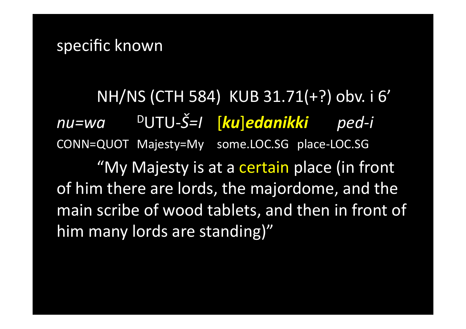NH/NS (CTH 584) KUB 31.71(+?) obv. i 6' <sup>D</sup>UTU-Š=I [ku]edanikki ped-i nu=wa CONN=QUOT Majesty=My some.LOC.SG place-LOC.SG

"My Majesty is at a certain place (in front of him there are lords, the majordome, and the main scribe of wood tablets, and then in front of him many lords are standing)"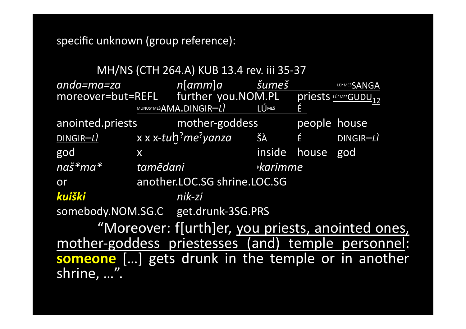specific unknown (group reference):

| MH/NS (CTH 264.A) KUB 13.4 rev. iii 35-37                |          |                                     |                |              |                                       |  |
|----------------------------------------------------------|----------|-------------------------------------|----------------|--------------|---------------------------------------|--|
| anda=ma=za                                               |          | n[amm]a                             | šumeš          |              | LÚ MEŠSANGA                           |  |
| moreover=but=REFL further you.NOM.PL                     |          |                                     |                |              | priests <u>wimesGUDU<sub>12</sub></u> |  |
|                                                          |          | MUNUS <sup>-</sup> MEŠAMA.DINGIR-LI | <b>LÚMEŠ</b>   | É            |                                       |  |
| anointed.priests mother-goddess                          |          |                                     |                | people house |                                       |  |
| $DINGIR-Ll$ x x x-tuh <sup>?</sup> me <sup>?</sup> yanza |          |                                     |                |              | ŠÀ É DINGIR-LÌ                        |  |
| god                                                      | X        |                                     | inside         | house        | god                                   |  |
| naš*ma*                                                  | tamēdani |                                     | <b>karimme</b> |              |                                       |  |
| or                                                       |          | another.LOC.SG shrine.LOC.SG        |                |              |                                       |  |
| kuiški                                                   |          | nik-zi                              |                |              |                                       |  |
| somebody.NOM.SG.C get.drunk-3SG.PRS                      |          |                                     |                |              |                                       |  |
| "Moreover: f[urth]er, you priests, anointed ones,        |          |                                     |                |              |                                       |  |
| mother-goddess priestesses (and) temple personnel:       |          |                                     |                |              |                                       |  |
| someone [] gets drunk in the temple or in another        |          |                                     |                |              |                                       |  |
| shrine, ".                                               |          |                                     |                |              |                                       |  |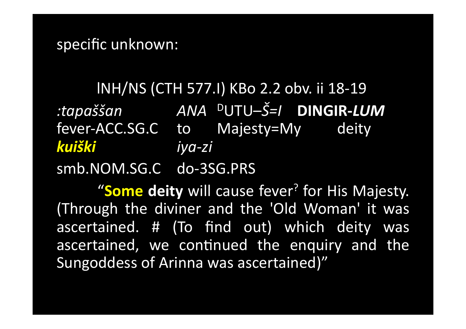## specific unknown:

# INH/NS (CTH 577.I) KBo 2.2 obv. ii 18-19

:tapaššan – ANA <sup>D</sup>UTU–Š=I **DINGIR-LUM** fever-ACC.SG.C to Majesty=My deity kuiški iya-zi smb.NOM.SG.C do-3SG.PRS

"Some deity will cause fever? for His Majesty. (Through the diviner and the 'Old Woman' it was ascertained. # (To find out) which deity was ascertained, we continued the enquiry and the Sungoddess of Arinna was ascertained)"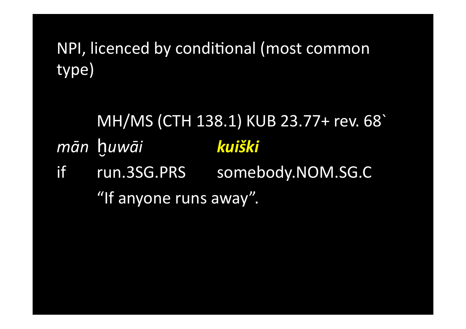NPI, licenced by conditional (most common type)

#### MH/MS (CTH 138.1) KUB 23.77+ rev. 68 mān huwāi kuiški run.3SG.PRS somebody.NOM.SG.C if "If anyone runs away".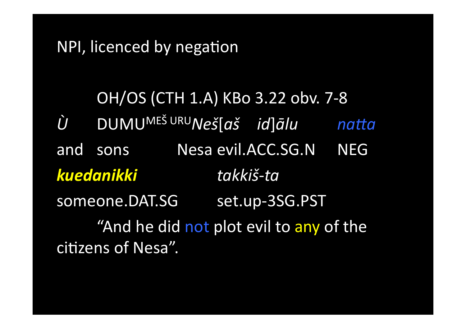# NPI, licenced by negation

OH/OS (CTH 1.A) KBo 3.22 obv. 7-8 DUMU<sup>MEŠ URU</sup>Neš[aš id]ālu  $\hat{U}$ natta and sons Nesa evil.ACC.SG.N **NEG** kuedanikki takkiš-ta someone.DAT.SG set.up-3SG.PST "And he did not plot evil to any of the citizens of Nesa".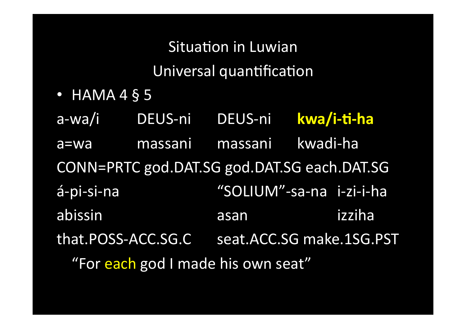**Situation in Luwian** Universal quantification

 $\bullet$  HAMA 4 § 5

kwa/i-ti-ha a-wa/i DEUS-ni DEUS-ni kwadi-ha massani massani a=wa CONN=PRTC god.DAT.SG god.DAT.SG each.DAT.SG á-pi-si-na "SOLIUM"-sa-na i-zi-i-ha abissin izziha asan that.POSS-ACC.SG.C seat.ACC.SG make.1SG.PST "For each god I made his own seat"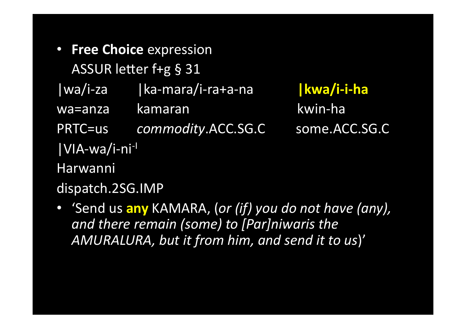• Free Choice expression ASSUR letter f+g § 31 | ka-mara/i-ra+a-na  $|wa/i$ -za kamaran wa=anza **PRTC=us** commodity.ACC.SG.C |VIA-wa/i-ni<sup>-l</sup> Harwanni

| kwa/i-i-ha kwin-ha some.ACC.SG.C

dispatch.2SG.IMP

• 'Send us any KAMARA, (or (if) you do not have (any), and there remain (some) to [Par]niwaris the AMURALURA, but it from him, and send it to us)'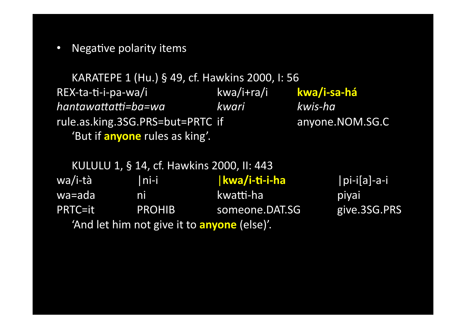• Negative polarity items

KARATEPE 1 (Hu.) § 49, cf. Hawkins 2000, I: 56 REX-ta-ti-i-pa-wa/i **kwa/i+ra/i kwa/i-sa-há** *hantawaHaU=ba=wa kwari kwis(ha* rule.as.king.3SG.PRS=but=PRTC if anyone.NOM.SG.C 'But if **anyone** rules as king'.

KULULU 1, § 14, cf. Hawkins 2000, II: 443 wa/i-tà |ni-i |**kwa/i-ti-i-ha** |pi-i[a]-a-i wa=ada ni kwatti-ha piyai PRTC=it PROHIB someone.DAT.SG give.3SG.PRS 'And let him not give it to **anyone** (else)'.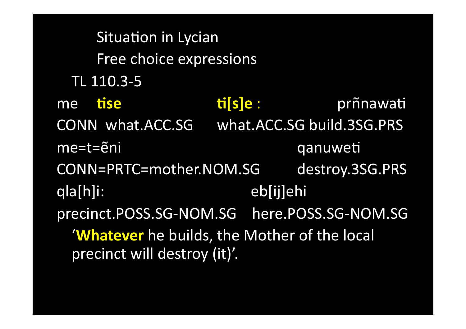Situation in Lycian Free choice expressions TL 110.3-5 **ti** s e : **tise** prñnawati me CONN what.ACC.SG what.ACC.SG build.3SG.PRS qanuweti  $me=t=$ eni destroy.3SG.PRS CONN=PRTC=mother.NOM.SG qla[h]i: eb[ij]ehi precinct.POSS.SG-NOM.SG here.POSS.SG-NOM.SG 'Whatever he builds, the Mother of the local precinct will destroy (it)'.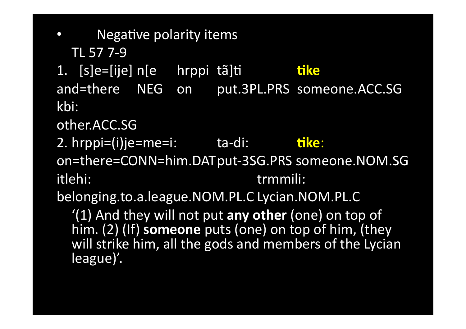Negative polarity items TL 57 7-9 1. [s]e=[ije] n[e hrppi tã]ti **tike** and=there NEG on put.3PL.PRS someone.ACC.SG kbi: other.ACC.SG 2. hrppi=(i)je=me=i: ta-di: ta-tike: on=there=CONN=him.DATput-3SG.PRS someone.NOM.SG itlehi: trmmili: belonging.to.a.league.NOM.PL.C Lycian.NOM.PL.C '(1) And they will not put any other (one) on top of him. (2) (If) someone puts (one) on top of him, (they

will strike him, all the gods and members of the Lycian league)'.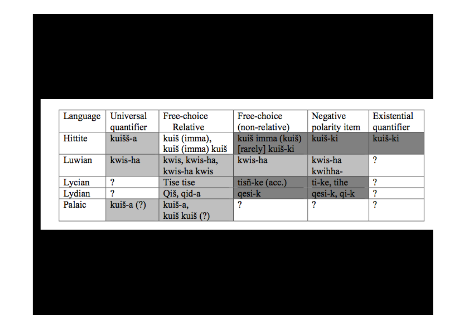#### Universal Free-choice Free-choice Negative Existential Language Relative polarity item quantifier (non-relative) quantifier Hittite kuiš imma (kuiš) kuišš-a kuiš (imma), kuiš-ki kuiš-ki kuiš (imma) kuiš [rarely] kuiš-ki Luwian kwis-ha kwis, kwis-ha, kwis-ha kwis-ha 2 kwis-ha kwis kwihha- $\overline{2}$ Lycian Tise tise tisñ-ke (acc.) ti-ke, tihe  $\overline{\mathbf{?}}$  $\overline{?}$  $\overline{\mathbf{?}}$ Lydian Qiš, qid-a  $qesi-k$ qesi-k, qi-k  $\overline{?}$  $\overline{?}$  $\overline{?}$ Palaic kuiš-a (?) kuiš-a, kuiš kuiš (?)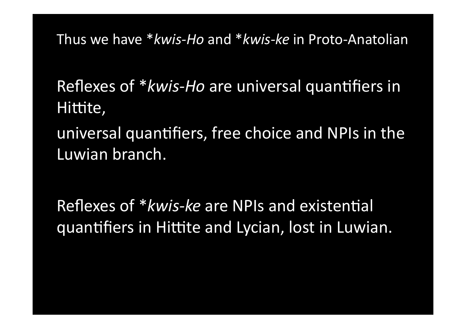Thus we have \**kwis-Ho* and \**kwis-ke* in Proto-Anatolian

Reflexes of \**kwis-Ho* are universal quantifiers in Hittite,

universal quantifiers, free choice and NPIs in the Luwian branch.

Reflexes of \**kwis-ke* are NPIs and existential quantifiers in Hittite and Lycian, lost in Luwian.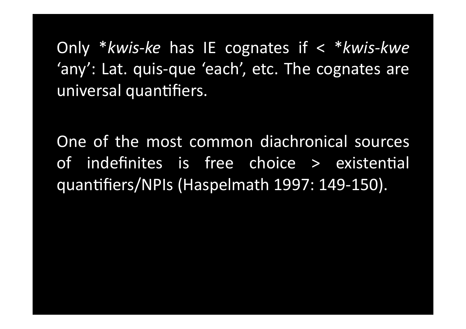Only \**kwis-ke* has IE cognates if  $\lt$  \**kwis-kwe* 'any': Lat. quis-que 'each', etc. The cognates are universal quantifiers.

One of the most common diachronical sources of indefinites is free choice > existential quantifiers/NPIs (Haspelmath 1997: 149-150).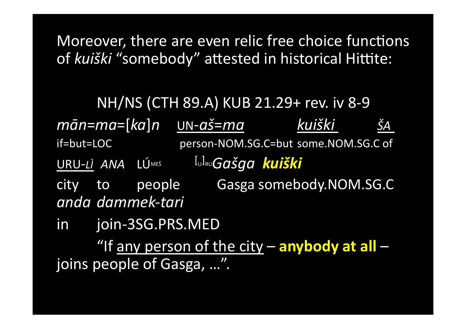Moreover, there are even relic free choice functions of kuiški "somebody" attested in historical Hittite:

NH/NS (CTH 89.A) KUB 21.29+ rev. iv 8-9  $m\bar{a}$ n=ma=[ka]n  $UN$ -aš=ma $\hskip 1cm$ kuiški ŠА if=but=LOC person-NOM.SG.C=but some.NOM.SG.C of URU-LI ANA LÚMEŠ <sup>[</sup>u]<sub>R∪</sub>Gašqa kuiški people Gasga somebody.NOM.SG.C city to anda dammek-tari join-3SG.PRS.MED in l "If any person of the city - anybody at all joins people of Gasga, ...".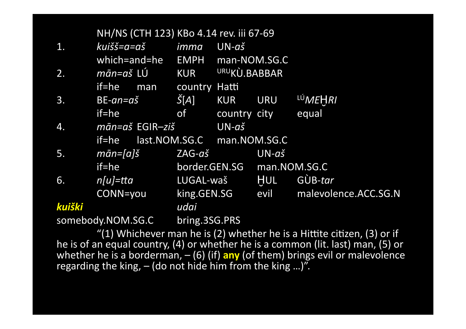|                   |                                                           |               |                               | NH/NS (CTH 123) KBo 4.14 rev. iii 67-69 |                      |         |  |
|-------------------|-----------------------------------------------------------|---------------|-------------------------------|-----------------------------------------|----------------------|---------|--|
| kuišš=a=aš<br>1.  |                                                           | imma          | $UN-a\check{s}$               |                                         |                      |         |  |
|                   | which=and=he                                              |               | <b>EMPH</b>                   | man-NOM.SG.C                            |                      |         |  |
| 2.                | mān=aš LÚ                                                 |               | <b>KUR</b>                    | URUKÙ.BABBAR                            |                      |         |  |
|                   | if=he                                                     | man           | country Hatti                 |                                         |                      |         |  |
| 3.                | $BE-an=a\check{s}$                                        |               | Š[A]                          | <b>KUR</b>                              | <b>URU</b>           | LÚMEHRI |  |
|                   | if=he                                                     |               | of                            | country city                            |                      | equal   |  |
| 4.                | $m\bar{a}n = a\check{s}$ EGIR $-zi\check{s}$<br>$if = he$ |               |                               | $UN-a\check{s}$                         |                      |         |  |
|                   |                                                           |               | last.NOM.SG.C<br>man.NOM.SG.C |                                         |                      |         |  |
| 5.                | $m\bar{a}n = [a]\check{\mathrm{s}}$                       |               | ZAG-aš                        |                                         | $UN-a\check{s}$      |         |  |
|                   | if=he                                                     |               | border.GEN.SG man.NOM.SG.C    |                                         |                      |         |  |
| 6.                | $n[u]$ =tta                                               |               | LUGAL-waš                     |                                         | <b>HUL</b>           | GÙB-tar |  |
| CONN=you          |                                                           | king.GEN.SG   |                               | evil                                    | malevolence.ACC.SG.N |         |  |
| kuiški            |                                                           |               | udai                          |                                         |                      |         |  |
| somebody.NOM.SG.C |                                                           | bring.3SG.PRS |                               |                                         |                      |         |  |

"(1) Whichever man he is (2) whether he is a Hittite citizen, (3) or if<br>he is of an equal country, (4) or whether he is a common (lit. last) man, (5) or<br>whether he is a borderman, - (6) (if) any (of them) brings evil or m regarding the king,  $-$  (do not hide him from the king ...)".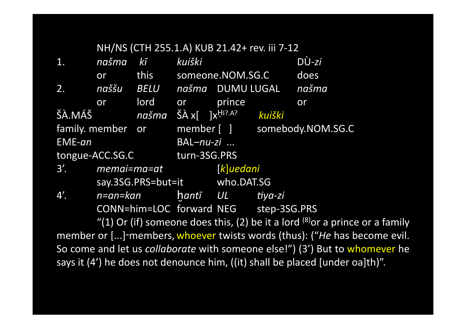|  | NH/NS (CTH 255.1.A) KUB 21.42+ rev. iii 7-12 |
|--|----------------------------------------------|
|--|----------------------------------------------|

| 1.     | našma                  | $k\bar{l}$                    | kuiški                          |                  |                                       | $D\Upsilon$ -zi              |
|--------|------------------------|-------------------------------|---------------------------------|------------------|---------------------------------------|------------------------------|
|        | or                     | this                          |                                 | someone.NOM.SG.C |                                       | does                         |
| 2.     | naššu                  | <b>BELU</b>                   |                                 | našma DUMU LUGAL |                                       | našma                        |
|        | or                     | lord                          | <b>or</b>                       | prince           |                                       | or                           |
| ŠÀ.MÁŠ |                        |                               | našma ŠÀx[ ]x <sup>HI?.A?</sup> |                  | kuiški                                |                              |
|        | family. member or      |                               |                                 |                  |                                       | member [ ] somebody.NOM.SG.C |
| EME-an |                        |                               | BAL-nu-zi                       |                  |                                       |                              |
|        | tongue-ACC.SG.C        |                               | turn-3SG.PRS                    |                  |                                       |                              |
|        | $3'.$ memai= $ma = at$ |                               | $[k]$ uedani                    |                  |                                       |                              |
|        |                        | say.3SG.PRS=but=it who.DAT.SG |                                 |                  |                                       |                              |
| 4'.    | n=an=kan               |                               | hantī UL                        |                  | tiya-zi                               |                              |
|        |                        |                               |                                 |                  | CONN=him=LOC forward NEG step-3SG.PRS |                              |

"(1) Or (if) someone does this, (2) be it a lord  $^{(8)}$ or a prince or a family member or [...]-members, whoever twists words (thus): ("He has become evil. So come and let us *collaborate* with someone else!") (3') But to whomever he says it (4') he does not denounce him, ((it) shall be placed [under oa]th)".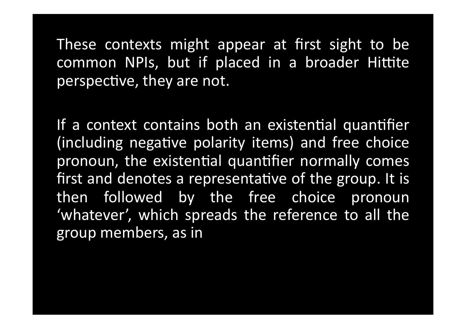These contexts might appear at first sight to be common NPIs, but if placed in a broader Hittite perspective, they are not.

If a context contains both an existential quantifier (including negative polarity items) and free choice pronoun, the existential quantifier normally comes first and denotes a representative of the group. It is then followed by the free choice pronoun 'whatever', which spreads the reference to all the group members,!as in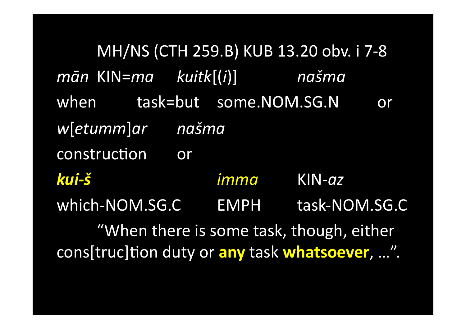MH/NS (CTH 259.B) KUB 13.20 obv. i 7-8  $m\bar{a}$ n KIN= $m a$  kuit $k[(i)]$ našma task=but some.NOM.SG.N when or w[etumm]ar našma construction or kui-š imma  $KIN-az$ which-NOM.SG.C EMPH task-NOM.SG.C "When there is some task, though, either cons[truc]tion duty or any task whatsoever, ...".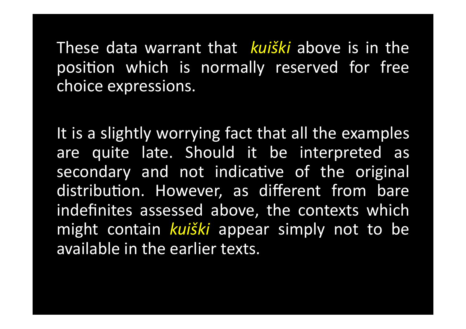These data warrant that *kuiški* above is in the position which is normally reserved for free choice expressions.

It is a slightly worrying fact that all the examples are quite late. Should it be interpreted as secondary and not indicative of the original distribution. However, as different from bare indefinites assessed above, the contexts which might! contain! *kuiški* appear simply! not! to be available in the earlier texts.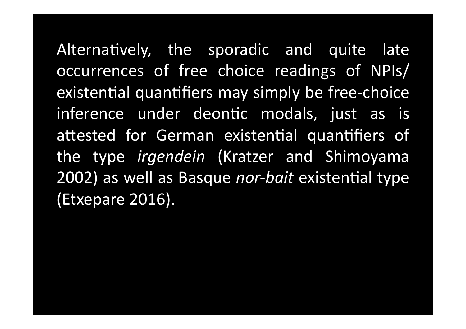Alternatively, the sporadic and quite late occurrences of free choice readings of NPIs/ existential quantifiers may simply be free-choice inference under deontic modals, just as is attested for German existential quantifiers of the type *irgendein* (Kratzer and Shimoyama 2002) as well as Basque *nor-bait* existential type (Etxepare 2016).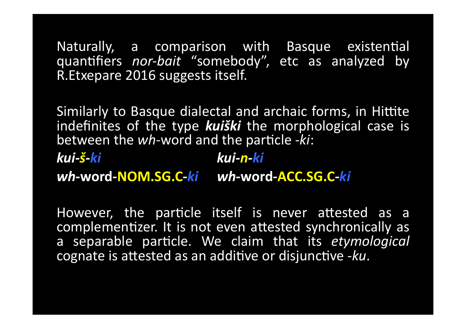Naturally, a comparison with Basque existential quantifiers *nor-bait* "somebody", etc as analyzed by R. Etxepare 2016 suggests itself.

Similarly to Basque dialectal and archaic forms, in Hittite indefinites of the type **kuiški** the morphological case is between the wh-word and the particle -ki:

kui-š-ki kui-n-ki wh-word-NOM.SG.C-ki wh-word-ACC.SG.C-ki

However, the particle itself is never attested as a complementizer. It is not even attested synchronically as a separable particle. We claim that its etymological cognate is attested as an additive or disjunctive -ku.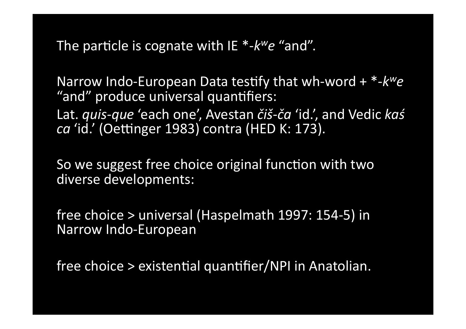The particle is cognate with IE  $*$ - $k^w e$  "and".

Narrow Indo-European Data testify that wh-word +  $*$ - $k^w e$ "and" produce universal quantifiers: Lat. *quis-que 'each one', Avestan čiš-ča 'id.'*, and Vedic kas ca 'id.' (Oettinger 1983) contra (HED K: 173).

So we suggest free choice original function with two diverse developments:

free choice > universal (Haspelmath 1997: 154-5) in Narrow Indo-European

free choice > existential quantifier/NPI in Anatolian.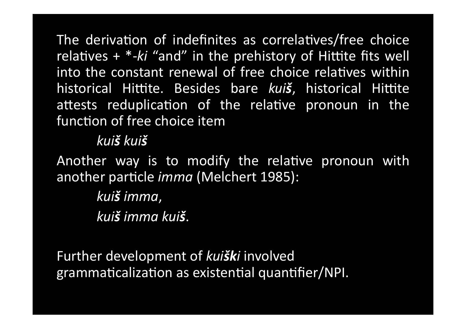The derivation of indefinites as correlatives/free choice relatives  $+$  \*-ki "and" in the prehistory of Hittite fits well into the constant renewal of free choice relatives within historical Hittite. Besides bare kuiš, historical Hittite attests reduplication of the relative pronoun in the function of free choice item

### kuiš kuiš

Another way is to modify the relative pronoun with another particle *imma* (Melchert 1985):

> kui**š** imma, kuiš imma kuiš.

Further development of kuiški involved grammaticalization as existential quantifier/NPI.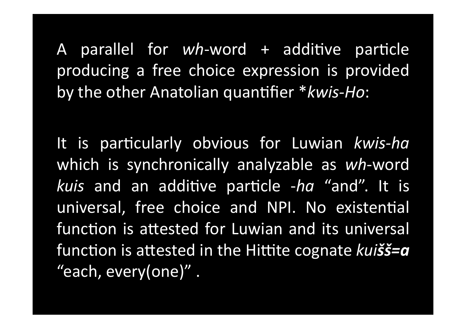A parallel for wh-word + additive particle producing a free choice expression is provided by the other Anatolian quantifier \*kwis-Ho:

It is particularly obvious for Luwian kwis-ha which is synchronically analyzable as wh-word kuis and an additive particle -ha "and". It is universal, free choice and NPI. No existential function is attested for Luwian and its universal function is attested in the Hittite cognate kuiss=a "each, every(one)".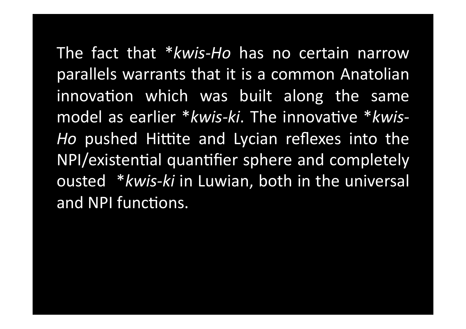The fact that \*kwis-Ho has no certain narrow parallels warrants that it is a common Anatolian innovation which was built along the same model as earlier \*kwis-ki. The innovative \*kwis-Ho pushed Hittite and Lycian reflexes into the NPI/existential quantifier sphere and completely ousted \*kwis-ki in Luwian, both in the universal and NPI functions.